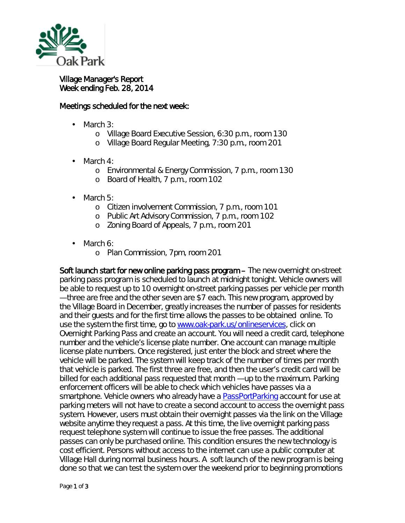

## Village Manager's Report Week ending Feb. 28, 2014

## Meetings scheduled for the next week:

- March 3:
	- o Village Board Executive Session, 6:30 p.m., room 130
	- o Village Board Regular Meeting, 7:30 p.m., room 201
- March 4:
	- o Environmental & Energy Commission, 7 p.m., room 130
	- o Board of Health, 7 p.m., room 102
- March 5: L.
	- o Citizen involvement Commission, 7 p.m., room 101
	- o Public Art Advisory Commission, 7 p.m., room 102
	- o Zoning Board of Appeals, 7 p.m., room 201
- March 6: l,
	- o Plan Commission, 7pm, room 201

Soft launch start for new online parking pass program – The new overnight on-street parking pass program is scheduled to launch at midnight tonight. Vehicle owners will be able to request up to 10 overnight on-street parking passes per vehicle per month — three are free and the other seven are \$7 each. This new program, approved by the Village Board in December, greatly increases the number of passes for residents and their guests and for the first time allows the passes to be obtained online. To use the system the first time, go to [www.oak-park.us/onlineservices,](http://www.oak-park.us/onlineservices) click on *Overnight Parking Pass* and create an account. You will need a credit card, telephone number and the vehicle's license plate number. One account can manage multiple license plate numbers. Once registered, just enter the block and street where the vehicle will be parked. The system will keep track of the number of times per month that vehicle is parked. The first three are free, and then the user's credit card will be billed for each additional pass requested that month — up to the maximum. Parking enforcement officers will be able to check which vehicles have passes via a smartphone. Vehicle owners who already have a [PassPortParking](http://passportparking.com/) account for use at parking meters will not have to create a second account to access the overnight pass system. However, users must obtain their overnight passes via the link on the Village website anytime they request a pass. At this time, the live overnight parking pass request telephone system will continue to issue the free passes. The additional passes can only be purchased online. This condition ensures the new technology is cost efficient. Persons without access to the internet can use a public computer at Village Hall during normal business hours. A soft launch of the new program is being done so that we can test the system over the weekend prior to beginning promotions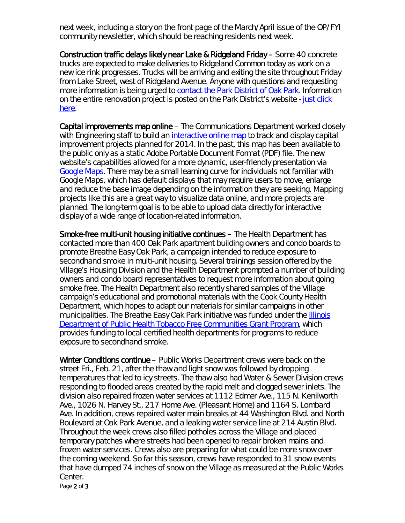next week, including a story on the front page of the March/April issue of the *OP/FYI* community newsletter, which should be reaching residents next week.

Construction traffic delays likely near Lake & Ridgeland Friday – Some 40 concrete trucks are expected to make deliveries to Ridgeland Common today as work on a new ice rink progresses. Trucks will be arriving and exiting the site throughout Friday from Lake Street, west of Ridgeland Avenue. Anyone with questions and requesting more information is being urged to [contact the Park District of Oak Park.](http://r20.rs6.net/tn.jsp?f=001BqVZiV8kgUjm9St3G4oWpHcfH4jROnqa70kE8bCxsZIxNKWD8u9UsJB7yney2JyVxC9bM2xdeHQ3B2RJ94ICeNNQCYD5AQ0AqLXJgdIXSuHOwQJuq_5T7mIGRYI4pN6dDEct8Gr01HupcMAlAFNRKesLWJm0umHtviMKIbJPU-PeWT10HkNWhA==&c=cBPVCSWrD03muNr6pfFNZ-7bco9u3M41-M0qIWjsO1LOdqmd6WDPaw==&ch=qdTZe-Jl7-u-_Ye6efGmx1tOauSWmcI2iLrPa4m4kadAvGlUpgQGlg==) Information on the entire renovation project is posted on the Park District's website - [just click](http://r20.rs6.net/tn.jsp?f=001BqVZiV8kgUjm9St3G4oWpHcfH4jROnqa70kE8bCxsZIxNKWD8u9UsJB7yney2JyVsi8m8z9hnYufRUEqQvUu4OJsvNgP2lRmvJG9pa-KjcIlDFbOAWC5zNsN0198WDUrGazz2oCwH9CSNbvAYJP49DbokC3JlviX7GdlaoxzL0D0YutyHDXVh1coQDWRIQqSM1DfqVf9UgR_RfIUNMkPgg==&c=cBPVCSWrD03muNr6pfFNZ-7bco9u3M41-M0qIWjsO1LOdqmd6WDPaw==&ch=qdTZe-Jl7-u-_Ye6efGmx1tOauSWmcI2iLrPa4m4kadAvGlUpgQGlg==)  [here.](http://r20.rs6.net/tn.jsp?f=001BqVZiV8kgUjm9St3G4oWpHcfH4jROnqa70kE8bCxsZIxNKWD8u9UsJB7yney2JyVsi8m8z9hnYufRUEqQvUu4OJsvNgP2lRmvJG9pa-KjcIlDFbOAWC5zNsN0198WDUrGazz2oCwH9CSNbvAYJP49DbokC3JlviX7GdlaoxzL0D0YutyHDXVh1coQDWRIQqSM1DfqVf9UgR_RfIUNMkPgg==&c=cBPVCSWrD03muNr6pfFNZ-7bco9u3M41-M0qIWjsO1LOdqmd6WDPaw==&ch=qdTZe-Jl7-u-_Ye6efGmx1tOauSWmcI2iLrPa4m4kadAvGlUpgQGlg==)

Capital improvements map online – The Communications Department worked closely with Engineering staff to build an [interactive online map](http://www.oak-park.us/village-services/public-works/capital-improvement-projects) to track and display capital improvement projects planned for 2014. In the past, this map has been available to the public only as a static Adobe Portable Document Format (PDF) file. The new website's capabilities allowed for a more dynamic, user-friendly presentation via [Google Maps.](https://mapsengine.google.com/map/edit?mid=ztHPd1prphzE.k120cGqKqeL8) There may be a small learning curve for individuals not familiar with Google Maps, which has default displays that may require users to move, enlarge and reduce the base image depending on the information they are seeking. Mapping projects like this are a great way to visualize data online, and more projects are planned. The long-term goal is to be able to upload data directly for interactive display of a wide range of location-related information.

Smoke-free multi-unit housing initiative continues – The Health Department has contacted more than 400 Oak Park apartment building owners and condo boards to promote *Breathe Easy Oak Park,* a campaign intended to reduce exposure to secondhand smoke in multi-unit housing. Several trainings session offered by the Village's Housing Division and the Health Department prompted a number of building owners and condo board representatives to request more information about going smoke free. The Health Department also recently shared samples of the Village campaign's educational and promotional materials with the Cook County Health Department, which hopes to adapt our materials for similar campaigns in other municipalities. The *Breathe Easy Oak Park* initiative was funded under the [Illinois](http://www.idph.state.il.us/TobaccoWebSite/pap.htm)  [Department of Public Health Tobacco Free Communities Grant Program,](http://www.idph.state.il.us/TobaccoWebSite/pap.htm) which provides funding to local certified health departments for programs to reduce exposure to secondhand smoke.

Winter Conditions continue – Public Works Department crews were back on the street Fri., Feb. 21, after the thaw and light snow was followed by dropping temperatures that led to icy streets. The thaw also had Water & Sewer Division crews responding to flooded areas created by the rapid melt and clogged sewer inlets. The division also repaired frozen water services at 1112 Edmer Ave., 115 N. Kenilworth Ave., 1026 N. Harvey St., 217 Home Ave. (Pleasant Home) and 1164 S. Lombard Ave. In addition, crews repaired water main breaks at 44 Washington Blvd. and North Boulevard at Oak Park Avenue, and a leaking water service line at 214 Austin Blvd. Throughout the week crews also filled potholes across the Village and placed temporary patches where streets had been opened to repair broken mains and frozen water services. Crews also are preparing for what could be more snow over the coming weekend. So far this season, crews have responded to 31 snow events that have dumped 74 inches of snow on the Village as measured at the Public Works Center.

Page 2 of 3